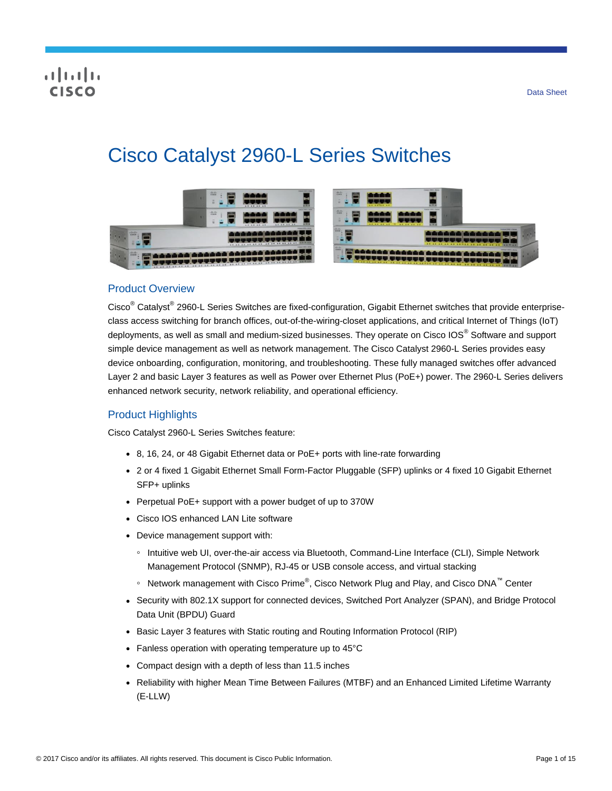# Cisco Catalyst 2960-L Series Switches



# Product Overview

Cisco<sup>®</sup> Catalyst<sup>®</sup> 2960-L Series Switches are fixed-configuration, Gigabit Ethernet switches that provide enterpriseclass access switching for branch offices, out-of-the-wiring-closet applications, and critical Internet of Things (IoT) deployments, as well as small and medium-sized businesses. They operate on Cisco IOS® Software and support simple device management as well as network management. The Cisco Catalyst 2960-L Series provides easy device onboarding, configuration, monitoring, and troubleshooting. These fully managed switches offer advanced Layer 2 and basic Layer 3 features as well as Power over Ethernet Plus (PoE+) power. The 2960-L Series delivers enhanced network security, network reliability, and operational efficiency.

# Product Highlights

Cisco Catalyst 2960-L Series Switches feature:

- 8, 16, 24, or 48 Gigabit Ethernet data or PoE+ ports with line-rate forwarding
- 2 or 4 fixed 1 Gigabit Ethernet Small Form-Factor Pluggable (SFP) uplinks or 4 fixed 10 Gigabit Ethernet SFP+ uplinks
- Perpetual PoE+ support with a power budget of up to 370W
- Cisco IOS enhanced LAN Lite software
- Device management support with:
	- Intuitive web UI, over-the-air access via Bluetooth, Command-Line Interface (CLI), Simple Network Management Protocol (SNMP), RJ-45 or USB console access, and virtual stacking
	- ∘ Network management with Cisco Prime®, Cisco Network Plug and Play, and Cisco DNA™ Center
- Security with 802.1X support for connected devices, Switched Port Analyzer (SPAN), and Bridge Protocol Data Unit (BPDU) Guard
- Basic Layer 3 features with Static routing and Routing Information Protocol (RIP)
- Fanless operation with operating temperature up to 45°C
- Compact design with a depth of less than 11.5 inches
- Reliability with higher Mean Time Between Failures (MTBF) and an Enhanced Limited Lifetime Warranty (E-LLW)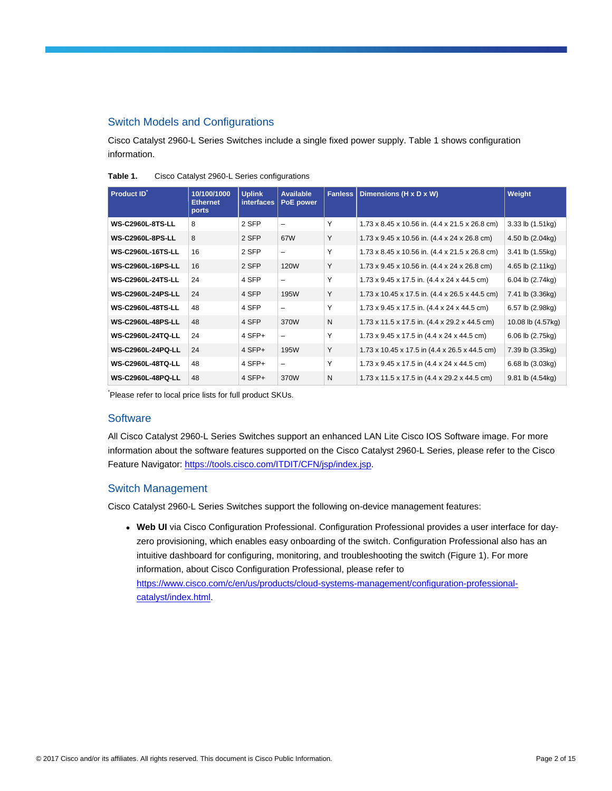# Switch Models and Configurations

Cisco Catalyst 2960-L Series Switches include a single fixed power supply. Table 1 shows configuration information.

| <b>Product ID</b>        | 10/100/1000<br><b>Ethernet</b><br>ports | <b>Uplink</b><br><b>interfaces</b> | <b>Available</b><br>PoE power | <b>Fanless</b> | Dimensions (H x D x W)                                              | Weight            |
|--------------------------|-----------------------------------------|------------------------------------|-------------------------------|----------------|---------------------------------------------------------------------|-------------------|
| <b>WS-C2960L-8TS-LL</b>  | 8                                       | 2 SFP                              | -                             | Υ              | 1.73 x 8.45 x 10.56 in. (4.4 x 21.5 x 26.8 cm)                      | 3.33 lb (1.51kg)  |
| <b>WS-C2960L-8PS-LL</b>  | 8                                       | 2 SFP                              | 67W                           | Y              | 1.73 x 9.45 x 10.56 in. (4.4 x 24 x 26.8 cm)                        | 4.50 lb (2.04kg)  |
| <b>WS-C2960L-16TS-LL</b> | 16                                      | 2 SFP                              | -                             | Υ              | 1.73 x 8.45 x 10.56 in. (4.4 x 21.5 x 26.8 cm)                      | 3.41 lb (1.55kg)  |
| <b>WS-C2960L-16PS-LL</b> | 16                                      | 2 SFP                              | 120W                          | Y              | 1.73 x 9.45 x 10.56 in. (4.4 x 24 x 26.8 cm)                        | 4.65 lb (2.11kg)  |
| <b>WS-C2960L-24TS-LL</b> | 24                                      | 4 SFP                              | $\overline{\phantom{0}}$      | Y              | 1.73 x 9.45 x 17.5 in. (4.4 x 24 x 44.5 cm)                         | 6.04 lb (2.74kg)  |
| <b>WS-C2960L-24PS-LL</b> | 24                                      | 4 SFP                              | 195W                          | Y              | 1.73 x 10.45 x 17.5 in. (4.4 x 26.5 x 44.5 cm)                      | 7.41 lb (3.36kg)  |
| <b>WS-C2960L-48TS-LL</b> | 48                                      | 4 SFP                              |                               | Y              | $1.73 \times 9.45 \times 17.5$ in. $(4.4 \times 24 \times 44.5$ cm) | 6.57 lb (2.98kg)  |
| <b>WS-C2960L-48PS-LL</b> | 48                                      | 4 SFP                              | 370W                          | N              | 1.73 x 11.5 x 17.5 in. (4.4 x 29.2 x 44.5 cm)                       | 10.08 lb (4.57kg) |
| <b>WS-C2960L-24TQ-LL</b> | 24                                      | 4 SFP+                             | $\overline{\phantom{m}}$      | Υ              | 1.73 x 9.45 x 17.5 in (4.4 x 24 x 44.5 cm)                          | 6.06 lb (2.75kg)  |
| <b>WS-C2960L-24PQ-LL</b> | 24                                      | 4 SFP+                             | 195W                          | Y              | 1.73 x 10.45 x 17.5 in (4.4 x 26.5 x 44.5 cm)                       | 7.39 lb (3.35kg)  |
| <b>WS-C2960L-48TQ-LL</b> | 48                                      | 4 SFP+                             | $\overline{\phantom{0}}$      | Y              | 1.73 x 9.45 x 17.5 in (4.4 x 24 x 44.5 cm)                          | 6.68 lb (3.03kg)  |
| <b>WS-C2960L-48PQ-LL</b> | 48                                      | 4 SFP+                             | 370W                          | N              | 1.73 x 11.5 x 17.5 in (4.4 x 29.2 x 44.5 cm)                        | 9.81 lb (4.54kg)  |

**Table 1.** Cisco Catalyst 2960-L Series configurations

\* Please refer to local price lists for full product SKUs.

# **Software**

All Cisco Catalyst 2960-L Series Switches support an enhanced LAN Lite Cisco IOS Software image. For more information about the software features supported on the Cisco Catalyst 2960-L Series, please refer to the Cisco Feature Navigator: [https://tools.cisco.com/ITDIT/CFN/jsp/index.jsp.](https://tools.cisco.com/ITDIT/CFN/jsp/index.jsp)

# Switch Management

Cisco Catalyst 2960-L Series Switches support the following on-device management features:

● **Web UI** via Cisco Configuration Professional. Configuration Professional provides a user interface for dayzero provisioning, which enables easy onboarding of the switch. Configuration Professional also has an intuitive dashboard for configuring, monitoring, and troubleshooting the switch (Figure 1). For more information, about Cisco Configuration Professional, please refer to [https://www.cisco.com/c/en/us/products/cloud-systems-management/configuration-professional-](https://www.cisco.com/c/en/us/products/cloud-systems-management/configuration-professional-catalyst/index.html)

[catalyst/index.html.](https://www.cisco.com/c/en/us/products/cloud-systems-management/configuration-professional-catalyst/index.html)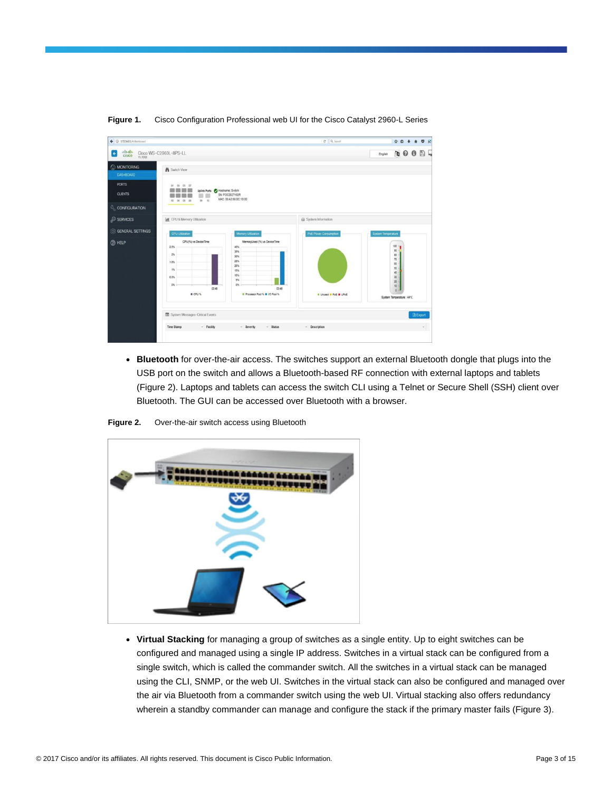

### **Figure 1.** Cisco Configuration Professional web UI for the Cisco Catalyst 2960-L Series

● **Bluetooth** for over-the-air access. The switches support an external Bluetooth dongle that plugs into the USB port on the switch and allows a Bluetooth-based RF connection with external laptops and tablets (Figure 2). Laptops and tablets can access the switch CLI using a Telnet or Secure Shell (SSH) client over Bluetooth. The GUI can be accessed over Bluetooth with a browser.





● **Virtual Stacking** for managing a group of switches as a single entity. Up to eight switches can be configured and managed using a single IP address. Switches in a virtual stack can be configured from a single switch, which is called the commander switch. All the switches in a virtual stack can be managed using the CLI, SNMP, or the web UI. Switches in the virtual stack can also be configured and managed over the air via Bluetooth from a commander switch using the web UI. Virtual stacking also offers redundancy wherein a standby commander can manage and configure the stack if the primary master fails (Figure 3).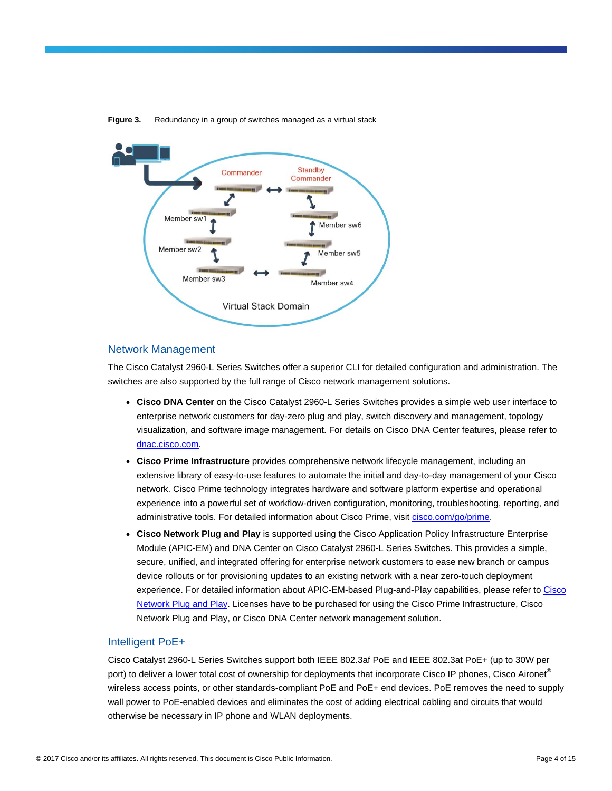

**Figure 3.** Redundancy in a group of switches managed as a virtual stack

# Network Management

The Cisco Catalyst 2960-L Series Switches offer a superior CLI for detailed configuration and administration. The switches are also supported by the full range of Cisco network management solutions.

- **Cisco DNA Center** on the Cisco Catalyst 2960-L Series Switches provides a simple web user interface to enterprise network customers for day-zero plug and play, switch discovery and management, topology visualization, and software image management. For details on Cisco DNA Center features, please refer to [dnac.cisco.com.](https://dnac.cisco.com/)
- **Cisco Prime Infrastructure** provides comprehensive network lifecycle management, including an extensive library of easy-to-use features to automate the initial and day-to-day management of your Cisco network. Cisco Prime technology integrates hardware and software platform expertise and operational experience into a powerful set of workflow-driven configuration, monitoring, troubleshooting, reporting, and administrative tools. For detailed information about Cisco Prime, visit [cisco.com/go/prime.](https://www.cisco.com/go/prime)
- **Cisco Network Plug and Play** is supported using the Cisco Application Policy Infrastructure Enterprise Module (APIC-EM) and DNA Center on Cisco Catalyst 2960-L Series Switches. This provides a simple, secure, unified, and integrated offering for enterprise network customers to ease new branch or campus device rollouts or for provisioning updates to an existing network with a near zero-touch deployment experience. For detailed information about APIC-EM-based Plug-and-Play capabilities, please refer to [Cisco](https://www.cisco.com/c/en/us/td/docs/solutions/Enterprise/Plug-and-Play/software/guide/pnp_apic_em_config_guide/pnp_apic_em_config_guide_chapter_01.html)  [Network Plug and Play.](https://www.cisco.com/c/en/us/td/docs/solutions/Enterprise/Plug-and-Play/software/guide/pnp_apic_em_config_guide/pnp_apic_em_config_guide_chapter_01.html) Licenses have to be purchased for using the Cisco Prime Infrastructure, Cisco Network Plug and Play, or Cisco DNA Center network management solution.

# Intelligent PoE+

Cisco Catalyst 2960-L Series Switches support both IEEE 802.3af PoE and IEEE 802.3at PoE+ (up to 30W per port) to deliver a lower total cost of ownership for deployments that incorporate Cisco IP phones, Cisco Aironet® wireless access points, or other standards-compliant PoE and PoE+ end devices. PoE removes the need to supply wall power to PoE-enabled devices and eliminates the cost of adding electrical cabling and circuits that would otherwise be necessary in IP phone and WLAN deployments.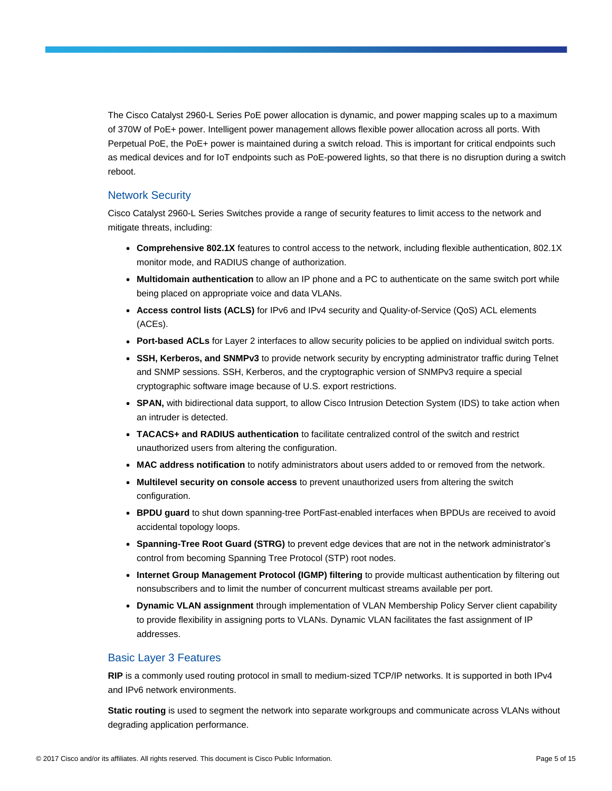The Cisco Catalyst 2960-L Series PoE power allocation is dynamic, and power mapping scales up to a maximum of 370W of PoE+ power. Intelligent power management allows flexible power allocation across all ports. With Perpetual PoE, the PoE+ power is maintained during a switch reload. This is important for critical endpoints such as medical devices and for IoT endpoints such as PoE-powered lights, so that there is no disruption during a switch reboot.

# Network Security

Cisco Catalyst 2960-L Series Switches provide a range of security features to limit access to the network and mitigate threats, including:

- **Comprehensive 802.1X** features to control access to the network, including flexible authentication, 802.1X monitor mode, and RADIUS change of authorization.
- **Multidomain authentication** to allow an IP phone and a PC to authenticate on the same switch port while being placed on appropriate voice and data VLANs.
- **Access control lists (ACLS)** for IPv6 and IPv4 security and Quality-of-Service (QoS) ACL elements (ACEs).
- **Port-based ACLs** for Layer 2 interfaces to allow security policies to be applied on individual switch ports.
- **SSH, Kerberos, and SNMPv3** to provide network security by encrypting administrator traffic during Telnet and SNMP sessions. SSH, Kerberos, and the cryptographic version of SNMPv3 require a special cryptographic software image because of U.S. export restrictions.
- **SPAN,** with bidirectional data support, to allow Cisco Intrusion Detection System (IDS) to take action when an intruder is detected.
- **TACACS+ and RADIUS authentication** to facilitate centralized control of the switch and restrict unauthorized users from altering the configuration.
- **MAC address notification** to notify administrators about users added to or removed from the network.
- **Multilevel security on console access** to prevent unauthorized users from altering the switch configuration.
- **BPDU guard** to shut down spanning-tree PortFast-enabled interfaces when BPDUs are received to avoid accidental topology loops.
- **Spanning-Tree Root Guard (STRG)** to prevent edge devices that are not in the network administrator's control from becoming Spanning Tree Protocol (STP) root nodes.
- **Internet Group Management Protocol (IGMP) filtering** to provide multicast authentication by filtering out nonsubscribers and to limit the number of concurrent multicast streams available per port.
- **Dynamic VLAN assignment** through implementation of VLAN Membership Policy Server client capability to provide flexibility in assigning ports to VLANs. Dynamic VLAN facilitates the fast assignment of IP addresses.

# Basic Layer 3 Features

**RIP** is a commonly used routing protocol in small to medium-sized TCP/IP networks. It is supported in both IPv4 and IPv6 network environments.

**Static routing** is used to segment the network into separate workgroups and communicate across VLANs without degrading application performance.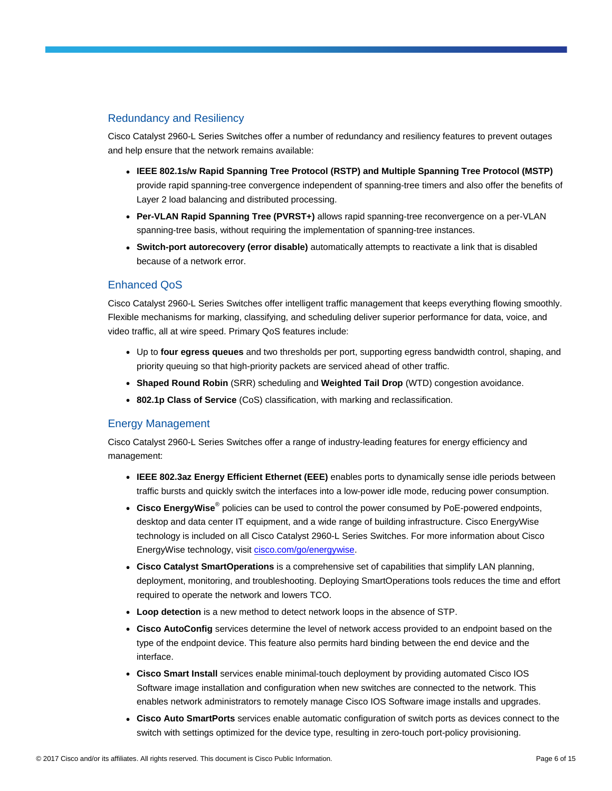# Redundancy and Resiliency

Cisco Catalyst 2960-L Series Switches offer a number of redundancy and resiliency features to prevent outages and help ensure that the network remains available:

- **IEEE 802.1s/w Rapid Spanning Tree Protocol (RSTP) and Multiple Spanning Tree Protocol (MSTP)** provide rapid spanning-tree convergence independent of spanning-tree timers and also offer the benefits of Layer 2 load balancing and distributed processing.
- **Per-VLAN Rapid Spanning Tree (PVRST+)** allows rapid spanning-tree reconvergence on a per-VLAN spanning-tree basis, without requiring the implementation of spanning-tree instances.
- **Switch-port autorecovery (error disable)** automatically attempts to reactivate a link that is disabled because of a network error.

# Enhanced QoS

Cisco Catalyst 2960-L Series Switches offer intelligent traffic management that keeps everything flowing smoothly. Flexible mechanisms for marking, classifying, and scheduling deliver superior performance for data, voice, and video traffic, all at wire speed. Primary QoS features include:

- Up to **four egress queues** and two thresholds per port, supporting egress bandwidth control, shaping, and priority queuing so that high-priority packets are serviced ahead of other traffic.
- **Shaped Round Robin** (SRR) scheduling and **Weighted Tail Drop** (WTD) congestion avoidance.
- **802.1p Class of Service** (CoS) classification, with marking and reclassification.

# Energy Management

Cisco Catalyst 2960-L Series Switches offer a range of industry-leading features for energy efficiency and management:

- **IEEE 802.3az Energy Efficient Ethernet (EEE)** enables ports to dynamically sense idle periods between traffic bursts and quickly switch the interfaces into a low-power idle mode, reducing power consumption.
- **Cisco EnergyWise**® policies can be used to control the power consumed by PoE-powered endpoints, desktop and data center IT equipment, and a wide range of building infrastructure. Cisco EnergyWise technology is included on all Cisco Catalyst 2960-L Series Switches. For more information about Cisco EnergyWise technology, visit [cisco.com/go/energywise.](https://www.cisco.com/go/energywise)
- **Cisco Catalyst SmartOperations** is a comprehensive set of capabilities that simplify LAN planning, deployment, monitoring, and troubleshooting. Deploying SmartOperations tools reduces the time and effort required to operate the network and lowers TCO.
- Loop detection is a new method to detect network loops in the absence of STP.
- **Cisco AutoConfig** services determine the level of network access provided to an endpoint based on the type of the endpoint device. This feature also permits hard binding between the end device and the interface.
- **Cisco Smart Install** services enable minimal-touch deployment by providing automated Cisco IOS Software image installation and configuration when new switches are connected to the network. This enables network administrators to remotely manage Cisco IOS Software image installs and upgrades.
- **Cisco Auto SmartPorts** services enable automatic configuration of switch ports as devices connect to the switch with settings optimized for the device type, resulting in zero-touch port-policy provisioning.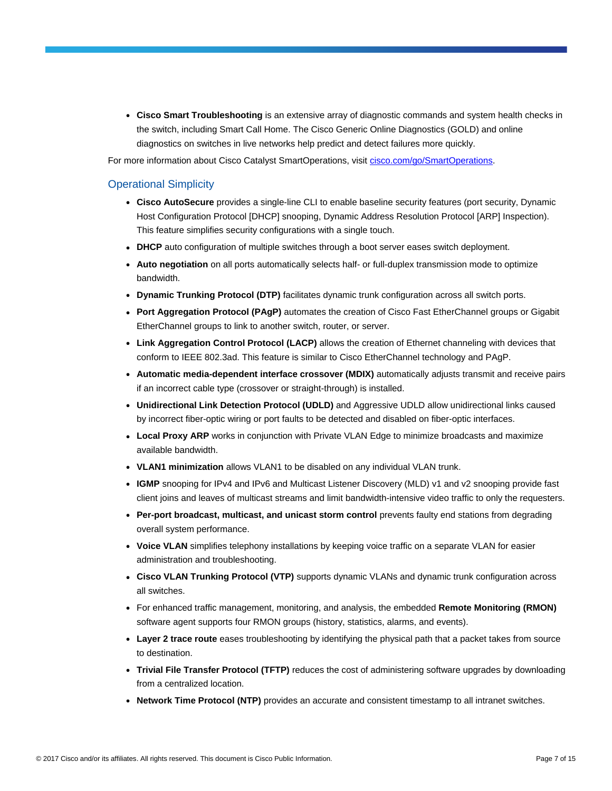● **Cisco Smart Troubleshooting** is an extensive array of diagnostic commands and system health checks in the switch, including Smart Call Home. The Cisco Generic Online Diagnostics (GOLD) and online diagnostics on switches in live networks help predict and detect failures more quickly.

For more information about Cisco Catalyst SmartOperations, visit [cisco.com/go/SmartOperations.](https://www.cisco.com/go/smartoperations)

# Operational Simplicity

- **Cisco AutoSecure** provides a single-line CLI to enable baseline security features (port security, Dynamic Host Configuration Protocol [DHCP] snooping, Dynamic Address Resolution Protocol [ARP] Inspection). This feature simplifies security configurations with a single touch.
- **DHCP** auto configuration of multiple switches through a boot server eases switch deployment.
- **Auto negotiation** on all ports automatically selects half- or full-duplex transmission mode to optimize bandwidth.
- **Dynamic Trunking Protocol (DTP)** facilitates dynamic trunk configuration across all switch ports.
- **Port Aggregation Protocol (PAgP)** automates the creation of Cisco Fast EtherChannel groups or Gigabit EtherChannel groups to link to another switch, router, or server.
- **Link Aggregation Control Protocol (LACP)** allows the creation of Ethernet channeling with devices that conform to IEEE 802.3ad. This feature is similar to Cisco EtherChannel technology and PAgP.
- **Automatic media-dependent interface crossover (MDIX)** automatically adjusts transmit and receive pairs if an incorrect cable type (crossover or straight-through) is installed.
- **Unidirectional Link Detection Protocol (UDLD)** and Aggressive UDLD allow unidirectional links caused by incorrect fiber-optic wiring or port faults to be detected and disabled on fiber-optic interfaces.
- **Local Proxy ARP** works in conjunction with Private VLAN Edge to minimize broadcasts and maximize available bandwidth.
- **VLAN1 minimization** allows VLAN1 to be disabled on any individual VLAN trunk.
- **IGMP** snooping for IPv4 and IPv6 and Multicast Listener Discovery (MLD) v1 and v2 snooping provide fast client joins and leaves of multicast streams and limit bandwidth-intensive video traffic to only the requesters.
- **Per-port broadcast, multicast, and unicast storm control** prevents faulty end stations from degrading overall system performance.
- Voice VLAN simplifies telephony installations by keeping voice traffic on a separate VLAN for easier administration and troubleshooting.
- **Cisco VLAN Trunking Protocol (VTP)** supports dynamic VLANs and dynamic trunk configuration across all switches.
- For enhanced traffic management, monitoring, and analysis, the embedded **Remote Monitoring (RMON)** software agent supports four RMON groups (history, statistics, alarms, and events).
- **Layer 2 trace route** eases troubleshooting by identifying the physical path that a packet takes from source to destination.
- **Trivial File Transfer Protocol (TFTP)** reduces the cost of administering software upgrades by downloading from a centralized location.
- **Network Time Protocol (NTP)** provides an accurate and consistent timestamp to all intranet switches.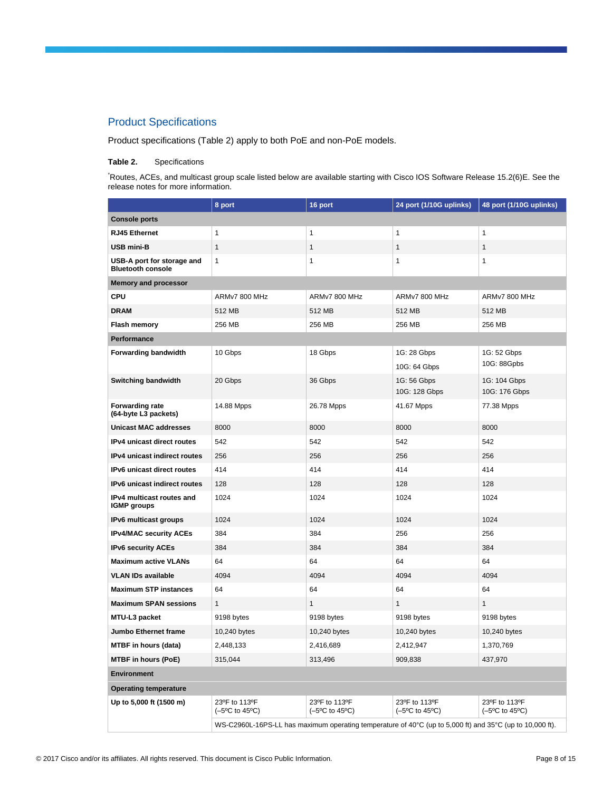# Product Specifications

Product specifications (Table 2) apply to both PoE and non-PoE models.

### **Table 2.** Specifications

\*Routes, ACEs, and multicast group scale listed below are available starting with Cisco IOS Software Release 15.2(6)E. See the release notes for more information.

|                                                        | 8 port                                                                                                                       | 16 port                                                  | 24 port (1/10G uplinks)                                  | 48 port (1/10G uplinks)                                  |  |  |
|--------------------------------------------------------|------------------------------------------------------------------------------------------------------------------------------|----------------------------------------------------------|----------------------------------------------------------|----------------------------------------------------------|--|--|
| <b>Console ports</b>                                   |                                                                                                                              |                                                          |                                                          |                                                          |  |  |
| <b>RJ45 Ethernet</b>                                   | $\mathbf{1}$                                                                                                                 | 1                                                        | $\mathbf{1}$                                             | 1                                                        |  |  |
| <b>USB mini-B</b>                                      | $\mathbf{1}$                                                                                                                 | $\mathbf{1}$                                             | $\mathbf{1}$                                             | $\mathbf{1}$                                             |  |  |
| USB-A port for storage and<br><b>Bluetooth console</b> | 1                                                                                                                            | $\mathbf{1}$                                             | $\mathbf{1}$                                             | 1                                                        |  |  |
| <b>Memory and processor</b>                            |                                                                                                                              |                                                          |                                                          |                                                          |  |  |
| <b>CPU</b>                                             | ARMy7 800 MHz                                                                                                                | ARMv7 800 MHz                                            | ARMy7 800 MHz                                            | ARMy7 800 MHz                                            |  |  |
| <b>DRAM</b>                                            | 512 MB                                                                                                                       | 512 MB                                                   | 512 MB                                                   | 512 MB                                                   |  |  |
| Flash memory                                           | 256 MB                                                                                                                       | 256 MB                                                   | 256 MB                                                   | 256 MB                                                   |  |  |
| Performance                                            |                                                                                                                              |                                                          |                                                          |                                                          |  |  |
| Forwarding bandwidth                                   | 10 Gbps                                                                                                                      | 18 Gbps                                                  | 1G: 28 Gbps<br>10G: 64 Gbps                              | 1G: 52 Gbps<br>10G: 88Gpbs                               |  |  |
| <b>Switching bandwidth</b>                             | 20 Gbps                                                                                                                      | 36 Gbps                                                  | 1G: 56 Gbps<br>10G: 128 Gbps                             | 1G: 104 Gbps<br>10G: 176 Gbps                            |  |  |
| <b>Forwarding rate</b><br>(64-byte L3 packets)         | 14.88 Mpps                                                                                                                   | 26.78 Mpps                                               | 41.67 Mpps                                               | 77.38 Mpps                                               |  |  |
| <b>Unicast MAC addresses</b>                           | 8000                                                                                                                         | 8000                                                     | 8000                                                     | 8000                                                     |  |  |
| IPv4 unicast direct routes                             | 542                                                                                                                          | 542                                                      | 542                                                      | 542                                                      |  |  |
| IPv4 unicast indirect routes                           | 256                                                                                                                          | 256                                                      | 256                                                      | 256                                                      |  |  |
| IPv6 unicast direct routes                             | 414                                                                                                                          | 414                                                      | 414                                                      | 414                                                      |  |  |
| IPv6 unicast indirect routes                           | 128                                                                                                                          | 128                                                      | 128                                                      | 128                                                      |  |  |
| IPv4 multicast routes and<br><b>IGMP</b> groups        | 1024                                                                                                                         | 1024                                                     | 1024                                                     | 1024                                                     |  |  |
| IPv6 multicast groups                                  | 1024                                                                                                                         | 1024                                                     | 1024                                                     | 1024                                                     |  |  |
| <b>IPv4/MAC security ACEs</b>                          | 384                                                                                                                          | 384                                                      | 256                                                      | 256                                                      |  |  |
| <b>IPv6 security ACEs</b>                              | 384                                                                                                                          | 384                                                      | 384                                                      | 384                                                      |  |  |
| <b>Maximum active VLANs</b>                            | 64                                                                                                                           | 64                                                       | 64                                                       | 64                                                       |  |  |
| VLAN IDs available                                     | 4094                                                                                                                         | 4094                                                     | 4094                                                     | 4094                                                     |  |  |
| <b>Maximum STP instances</b>                           | 64                                                                                                                           | 64                                                       | 64                                                       | 64                                                       |  |  |
| <b>Maximum SPAN sessions</b>                           | $\mathbf{1}$                                                                                                                 | $\mathbf{1}$                                             | $\mathbf{1}$                                             | 1                                                        |  |  |
| MTU-L3 packet                                          | 9198 bytes                                                                                                                   | 9198 bytes                                               | 9198 bytes                                               | 9198 bytes                                               |  |  |
| <b>Jumbo Ethernet frame</b>                            | 10,240 bytes                                                                                                                 | 10,240 bytes                                             | 10,240 bytes                                             | 10,240 bytes                                             |  |  |
| MTBF in hours (data)                                   | 2,448,133                                                                                                                    | 2,416,689                                                | 2,412,947                                                | 1,370,769                                                |  |  |
| <b>MTBF in hours (PoE)</b>                             | 315,044                                                                                                                      | 313,496                                                  | 909,838                                                  | 437,970                                                  |  |  |
| <b>Environment</b>                                     |                                                                                                                              |                                                          |                                                          |                                                          |  |  |
| <b>Operating temperature</b>                           |                                                                                                                              |                                                          |                                                          |                                                          |  |  |
| Up to 5,000 ft (1500 m)                                | 23ºF to 113ºF<br>$(-5^{\circ}C \text{ to } 45^{\circ}C)$                                                                     | 23ºF to 113ºF<br>$(-5^{\circ}C \text{ to } 45^{\circ}C)$ | 23°F to 113°F<br>$(-5^{\circ}C \text{ to } 45^{\circ}C)$ | 23ºF to 113ºF<br>$(-5^{\circ}C \text{ to } 45^{\circ}C)$ |  |  |
|                                                        | WS-C2960L-16PS-LL has maximum operating temperature of 40 $\degree$ C (up to 5,000 ft) and 35 $\degree$ C (up to 10,000 ft). |                                                          |                                                          |                                                          |  |  |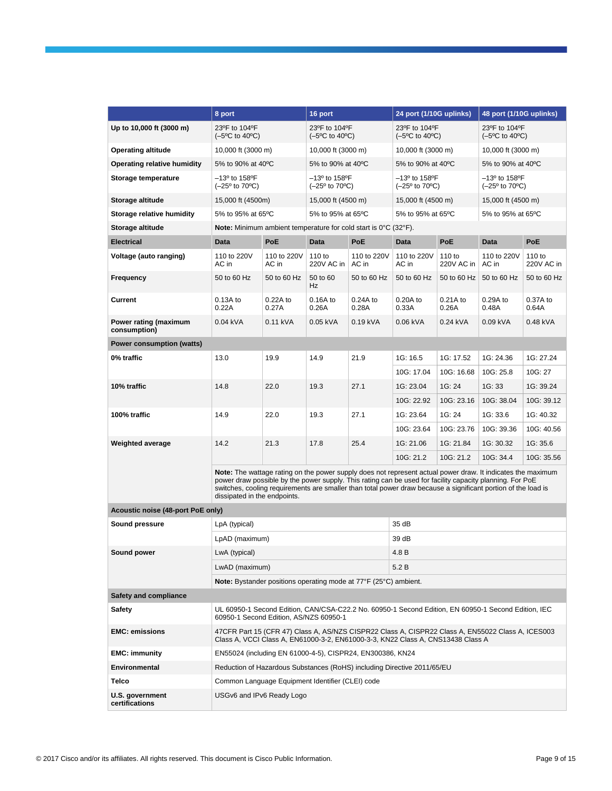|                                       | 8 port                                                                                                                                                                                                                                                                                                                                                                   |                           | 16 port                                                                 |                      | 24 port (1/10G uplinks)                                      |                      | 48 port (1/10G uplinks)                                      |                      |
|---------------------------------------|--------------------------------------------------------------------------------------------------------------------------------------------------------------------------------------------------------------------------------------------------------------------------------------------------------------------------------------------------------------------------|---------------------------|-------------------------------------------------------------------------|----------------------|--------------------------------------------------------------|----------------------|--------------------------------------------------------------|----------------------|
| Up to 10,000 ft (3000 m)              | 23°F to 104°F<br>$(-5^{\circ}C \text{ to } 40^{\circ}C)$                                                                                                                                                                                                                                                                                                                 |                           | 23ºF to 104ºF<br>$(-5^{\circ}C \text{ to } 40^{\circ}C)$                |                      | 23°F to 104°F<br>$(-5^{\circ}C \text{ to } 40^{\circ}C)$     |                      | 23°F to 104°F<br>$(-5^{\circ}C \text{ to } 40^{\circ}C)$     |                      |
| <b>Operating altitude</b>             | 10,000 ft (3000 m)                                                                                                                                                                                                                                                                                                                                                       |                           | 10,000 ft (3000 m)                                                      |                      | 10,000 ft (3000 m)                                           |                      | 10,000 ft (3000 m)                                           |                      |
| Operating relative humidity           | 5% to 90% at 40°C                                                                                                                                                                                                                                                                                                                                                        |                           | 5% to 90% at 40°C                                                       |                      | 5% to 90% at 40°C                                            |                      | 5% to 90% at 40°C                                            |                      |
| Storage temperature                   | $-13^{\circ}$ to 158°F<br>$(-25^{\circ}$ to 70 $^{\circ}$ C)                                                                                                                                                                                                                                                                                                             |                           | $-13^{\circ}$ to 158°F<br>$(-25^{\circ}$ to 70 $^{\circ}$ C)            |                      | $-13^{\circ}$ to 158°F<br>$(-25^{\circ}$ to 70 $^{\circ}$ C) |                      | $-13^{\circ}$ to 158°F<br>$(-25^{\circ}$ to 70 $^{\circ}$ C) |                      |
| Storage altitude                      | 15,000 ft (4500m)                                                                                                                                                                                                                                                                                                                                                        |                           | 15,000 ft (4500 m)                                                      |                      | 15,000 ft (4500 m)                                           |                      | 15,000 ft (4500 m)                                           |                      |
| Storage relative humidity             | 5% to 95% at 65°C                                                                                                                                                                                                                                                                                                                                                        |                           | 5% to 95% at 65°C                                                       |                      | 5% to 95% at 65°C                                            |                      | 5% to 95% at 65°C                                            |                      |
| Storage altitude                      | <b>Note:</b> Minimum ambient temperature for cold start is 0°C (32°F).                                                                                                                                                                                                                                                                                                   |                           |                                                                         |                      |                                                              |                      |                                                              |                      |
| <b>Electrical</b>                     | <b>Data</b>                                                                                                                                                                                                                                                                                                                                                              | PoE                       | <b>Data</b>                                                             | PoE                  | Data                                                         | PoE                  | Data                                                         | PoE                  |
| Voltage (auto ranging)                | 110 to 220V<br>AC in                                                                                                                                                                                                                                                                                                                                                     | 110 to 220V<br>AC in      | 110 to<br>220V AC in                                                    | 110 to 220V<br>AC in | 110 to 220V<br>AC in                                         | 110 to<br>220V AC in | 110 to 220V<br>AC in                                         | 110 to<br>220V AC in |
| Frequency                             | 50 to 60 Hz                                                                                                                                                                                                                                                                                                                                                              | 50 to 60 Hz               | 50 to 60<br>Hz                                                          | 50 to 60 Hz          | 50 to 60 Hz                                                  | 50 to 60 Hz          | 50 to 60 Hz                                                  | 50 to 60 Hz          |
| Current                               | 0.13A to<br>0.22A                                                                                                                                                                                                                                                                                                                                                        | 0.22A to<br>0.27A         | 0.16A to<br>0.26A                                                       | $0.24A$ to<br>0.28A  | 0.20A to<br>0.33A                                            | 0.21A to<br>0.26A    | 0.29A to<br>0.48A                                            | 0.37A to<br>0.64A    |
| Power rating (maximum<br>consumption) | 0.04 kVA                                                                                                                                                                                                                                                                                                                                                                 | 0.11 kVA                  | 0.05 kVA                                                                | 0.19 kVA             | 0.06 kVA                                                     | 0.24 kVA             | 0.09 kVA                                                     | 0.48 kVA             |
| Power consumption (watts)             |                                                                                                                                                                                                                                                                                                                                                                          |                           |                                                                         |                      |                                                              |                      |                                                              |                      |
| 0% traffic                            | 13.0                                                                                                                                                                                                                                                                                                                                                                     | 19.9                      | 14.9                                                                    | 21.9                 | 1G: 16.5                                                     | 1G: 17.52            | 1G: 24.36                                                    | 1G: 27.24            |
|                                       |                                                                                                                                                                                                                                                                                                                                                                          |                           |                                                                         |                      | 10G: 17.04                                                   | 10G: 16.68           | 10G: 25.8                                                    | 10G: 27              |
| 10% traffic                           | 14.8                                                                                                                                                                                                                                                                                                                                                                     | 22.0                      | 19.3                                                                    | 27.1                 | 1G: 23.04                                                    | 1G: 24               | 1G: 33                                                       | 1G: 39.24            |
|                                       |                                                                                                                                                                                                                                                                                                                                                                          |                           |                                                                         |                      | 10G: 22.92                                                   | 10G: 23.16           | 10G: 38.04                                                   | 10G: 39.12           |
| 100% traffic                          | 14.9                                                                                                                                                                                                                                                                                                                                                                     | 22.0                      | 19.3                                                                    | 27.1                 | 1G: 23.64                                                    | 1G: 24               | 1G: 33.6                                                     | 1G: 40.32            |
|                                       |                                                                                                                                                                                                                                                                                                                                                                          |                           |                                                                         |                      | 10G: 23.64                                                   | 10G: 23.76           | 10G: 39.36                                                   | 10G: 40.56           |
| Weighted average                      | 14.2                                                                                                                                                                                                                                                                                                                                                                     | 21.3                      | 17.8                                                                    | 25.4                 | 1G: 21.06                                                    | 1G: 21.84            | 1G: 30.32                                                    | 1G: 35.6             |
|                                       |                                                                                                                                                                                                                                                                                                                                                                          |                           |                                                                         |                      | 10G: 21.2                                                    | 10G: 21.2            | 10G: 34.4                                                    | 10G: 35.56           |
|                                       | Note: The wattage rating on the power supply does not represent actual power draw. It indicates the maximum<br>power draw possible by the power supply. This rating can be used for facility capacity planning. For PoE<br>switches, cooling requirements are smaller than total power draw because a significant portion of the load is<br>dissipated in the endpoints. |                           |                                                                         |                      |                                                              |                      |                                                              |                      |
| Acoustic noise (48-port PoE only)     |                                                                                                                                                                                                                                                                                                                                                                          |                           |                                                                         |                      |                                                              |                      |                                                              |                      |
| Sound pressure                        | LpA (typical)                                                                                                                                                                                                                                                                                                                                                            |                           |                                                                         |                      | 35 dB                                                        |                      |                                                              |                      |
|                                       | LpAD (maximum)                                                                                                                                                                                                                                                                                                                                                           |                           |                                                                         |                      | 39 dB                                                        |                      |                                                              |                      |
| Sound power                           | LwA (typical)                                                                                                                                                                                                                                                                                                                                                            |                           |                                                                         |                      | 4.8 B                                                        |                      |                                                              |                      |
|                                       | LwAD (maximum)                                                                                                                                                                                                                                                                                                                                                           |                           |                                                                         |                      | 5.2 B                                                        |                      |                                                              |                      |
|                                       |                                                                                                                                                                                                                                                                                                                                                                          |                           | <b>Note:</b> Bystander positions operating mode at 77°F (25°C) ambient. |                      |                                                              |                      |                                                              |                      |
| <b>Safety and compliance</b>          |                                                                                                                                                                                                                                                                                                                                                                          |                           |                                                                         |                      |                                                              |                      |                                                              |                      |
| <b>Safety</b>                         | UL 60950-1 Second Edition, CAN/CSA-C22.2 No. 60950-1 Second Edition, EN 60950-1 Second Edition, IEC<br>60950-1 Second Edition, AS/NZS 60950-1                                                                                                                                                                                                                            |                           |                                                                         |                      |                                                              |                      |                                                              |                      |
| <b>EMC: emissions</b>                 | 47CFR Part 15 (CFR 47) Class A, AS/NZS CISPR22 Class A, CISPR22 Class A, EN55022 Class A, ICES003<br>Class A, VCCI Class A, EN61000-3-2, EN61000-3-3, KN22 Class A, CNS13438 Class A                                                                                                                                                                                     |                           |                                                                         |                      |                                                              |                      |                                                              |                      |
| <b>EMC: immunity</b>                  | EN55024 (including EN 61000-4-5), CISPR24, EN300386, KN24                                                                                                                                                                                                                                                                                                                |                           |                                                                         |                      |                                                              |                      |                                                              |                      |
| Environmental                         | Reduction of Hazardous Substances (RoHS) including Directive 2011/65/EU                                                                                                                                                                                                                                                                                                  |                           |                                                                         |                      |                                                              |                      |                                                              |                      |
| Telco                                 | Common Language Equipment Identifier (CLEI) code                                                                                                                                                                                                                                                                                                                         |                           |                                                                         |                      |                                                              |                      |                                                              |                      |
| U.S. government<br>certifications     |                                                                                                                                                                                                                                                                                                                                                                          | USGv6 and IPv6 Ready Logo |                                                                         |                      |                                                              |                      |                                                              |                      |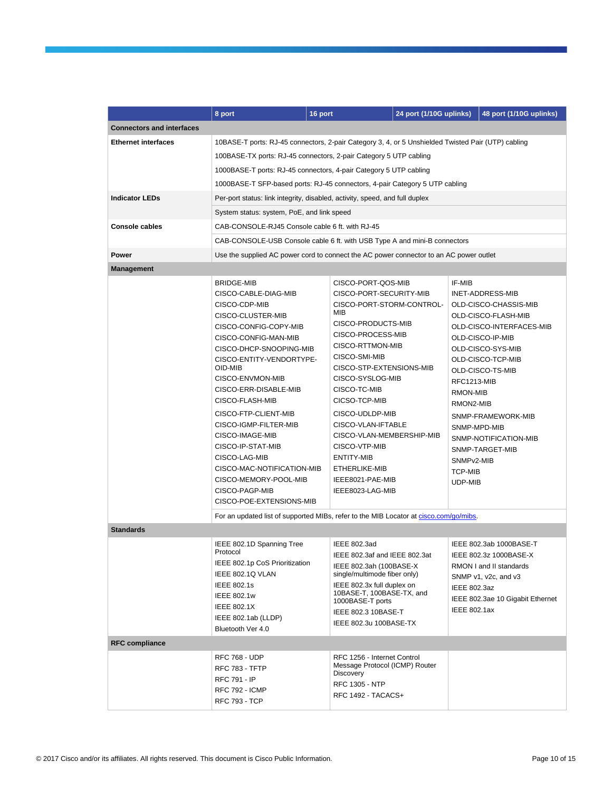|                                  | 8 port                                                                                                                    | 16 port |                                                         | 24 port (1/10G uplinks) |                         | 48 port (1/10G uplinks)               |
|----------------------------------|---------------------------------------------------------------------------------------------------------------------------|---------|---------------------------------------------------------|-------------------------|-------------------------|---------------------------------------|
| <b>Connectors and interfaces</b> |                                                                                                                           |         |                                                         |                         |                         |                                       |
| <b>Ethernet interfaces</b>       | 10BASE-T ports: RJ-45 connectors, 2-pair Category 3, 4, or 5 Unshielded Twisted Pair (UTP) cabling                        |         |                                                         |                         |                         |                                       |
|                                  | 100BASE-TX ports: RJ-45 connectors, 2-pair Category 5 UTP cabling                                                         |         |                                                         |                         |                         |                                       |
|                                  | 1000BASE-T ports: RJ-45 connectors, 4-pair Category 5 UTP cabling                                                         |         |                                                         |                         |                         |                                       |
|                                  | 1000BASE-T SFP-based ports: RJ-45 connectors, 4-pair Category 5 UTP cabling                                               |         |                                                         |                         |                         |                                       |
| <b>Indicator LEDs</b>            |                                                                                                                           |         |                                                         |                         |                         |                                       |
|                                  | Per-port status: link integrity, disabled, activity, speed, and full duplex<br>System status: system, PoE, and link speed |         |                                                         |                         |                         |                                       |
| <b>Console cables</b>            |                                                                                                                           |         |                                                         |                         |                         |                                       |
|                                  | CAB-CONSOLE-RJ45 Console cable 6 ft. with RJ-45                                                                           |         |                                                         |                         |                         |                                       |
|                                  | CAB-CONSOLE-USB Console cable 6 ft. with USB Type A and mini-B connectors                                                 |         |                                                         |                         |                         |                                       |
| Power                            | Use the supplied AC power cord to connect the AC power connector to an AC power outlet                                    |         |                                                         |                         |                         |                                       |
| <b>Management</b>                |                                                                                                                           |         |                                                         |                         |                         |                                       |
|                                  | <b>BRIDGE-MIB</b>                                                                                                         |         | CISCO-PORT-QOS-MIB                                      |                         | IF-MIB                  |                                       |
|                                  | CISCO-CABLE-DIAG-MIB                                                                                                      |         | CISCO-PORT-SECURITY-MIB                                 |                         |                         | INET-ADDRESS-MIB                      |
|                                  | CISCO-CDP-MIB                                                                                                             |         | CISCO-PORT-STORM-CONTROL-<br>MIB                        |                         |                         | OLD-CISCO-CHASSIS-MIB                 |
|                                  | CISCO-CLUSTER-MIB                                                                                                         |         | CISCO-PRODUCTS-MIB                                      |                         |                         | OLD-CISCO-FLASH-MIB                   |
|                                  | CISCO-CONFIG-COPY-MIB                                                                                                     |         | CISCO-PROCESS-MIB                                       |                         |                         | OLD-CISCO-INTERFACES-MIB              |
|                                  | CISCO-CONFIG-MAN-MIB                                                                                                      |         | CISCO-RTTMON-MIB                                        |                         |                         | OLD-CISCO-IP-MIB                      |
|                                  | CISCO-DHCP-SNOOPING-MIB<br>CISCO-ENTITY-VENDORTYPE-                                                                       |         | CISCO-SMI-MIB                                           |                         |                         | OLD-CISCO-SYS-MIB                     |
|                                  | OID-MIB                                                                                                                   |         | CISCO-STP-EXTENSIONS-MIB                                |                         |                         | OLD-CISCO-TCP-MIB<br>OLD-CISCO-TS-MIB |
|                                  | CISCO-ENVMON-MIB                                                                                                          |         | CISCO-SYSLOG-MIB                                        |                         | RFC1213-MIB             |                                       |
|                                  | CISCO-ERR-DISABLE-MIB                                                                                                     |         | CISCO-TC-MIB                                            |                         | RMON-MIB                |                                       |
|                                  | CISCO-FLASH-MIB                                                                                                           |         | CICSO-TCP-MIB                                           |                         | RMON2-MIB               |                                       |
|                                  | CISCO-FTP-CLIENT-MIB                                                                                                      |         | CISCO-UDLDP-MIB                                         |                         |                         | SNMP-FRAMEWORK-MIB                    |
|                                  | CISCO-IGMP-FILTER-MIB                                                                                                     |         | CISCO-VLAN-IFTABLE                                      |                         |                         | SNMP-MPD-MIB                          |
|                                  | CISCO-IMAGE-MIB                                                                                                           |         | CISCO-VLAN-MEMBERSHIP-MIB                               |                         |                         | SNMP-NOTIFICATION-MIB                 |
|                                  | CISCO-IP-STAT-MIB                                                                                                         |         | CISCO-VTP-MIB                                           |                         |                         | SNMP-TARGET-MIB                       |
|                                  | CISCO-LAG-MIB                                                                                                             |         | ENTITY-MIB                                              |                         | SNMP <sub>v2</sub> -MIB |                                       |
|                                  | CISCO-MAC-NOTIFICATION-MIB                                                                                                |         | ETHERLIKE-MIB                                           |                         | <b>TCP-MIB</b>          |                                       |
|                                  | CISCO-MEMORY-POOL-MIB                                                                                                     |         | IEEE8021-PAE-MIB                                        |                         | UDP-MIB                 |                                       |
|                                  | CISCO-PAGP-MIB                                                                                                            |         | IEEE8023-LAG-MIB                                        |                         |                         |                                       |
|                                  | CISCO-POE-EXTENSIONS-MIB                                                                                                  |         |                                                         |                         |                         |                                       |
|                                  | For an updated list of supported MIBs, refer to the MIB Locator at cisco.com/go/mibs.                                     |         |                                                         |                         |                         |                                       |
| <b>Standards</b>                 |                                                                                                                           |         |                                                         |                         |                         |                                       |
|                                  | IEEE 802.1D Spanning Tree                                                                                                 |         | <b>IEEE 802.3ad</b>                                     |                         |                         | IEEE 802.3ab 1000BASE-T               |
|                                  | Protocol                                                                                                                  |         | IEEE 802.3af and IEEE 802.3at                           |                         |                         | IEEE 802.3z 1000BASE-X                |
|                                  | IEEE 802.1p CoS Prioritization                                                                                            |         | IEEE 802.3ah (100BASE-X                                 |                         |                         | RMON I and II standards               |
|                                  | IEEE 802.1Q VLAN                                                                                                          |         | single/multimode fiber only)                            |                         |                         | SNMP v1, v2c, and v3                  |
|                                  | <b>IEEE 802.1s</b><br>IEEE 802.1w                                                                                         |         | IEEE 802.3x full duplex on<br>10BASE-T, 100BASE-TX, and |                         | <b>IEEE 802.3az</b>     |                                       |
|                                  | <b>IEEE 802.1X</b>                                                                                                        |         | 1000BASE-T ports                                        |                         |                         | IEEE 802.3ae 10 Gigabit Ethernet      |
|                                  | IEEE 802.1ab (LLDP)                                                                                                       |         | IEEE 802.3 10BASE-T                                     |                         | <b>IEEE 802.1ax</b>     |                                       |
|                                  | Bluetooth Ver 4.0                                                                                                         |         | IEEE 802.3u 100BASE-TX                                  |                         |                         |                                       |
| <b>RFC compliance</b>            |                                                                                                                           |         |                                                         |                         |                         |                                       |
|                                  | <b>RFC 768 - UDP</b>                                                                                                      |         | RFC 1256 - Internet Control                             |                         |                         |                                       |
|                                  | RFC 783 - TFTP                                                                                                            |         | Message Protocol (ICMP) Router                          |                         |                         |                                       |
|                                  | <b>RFC 791 - IP</b>                                                                                                       |         | Discovery                                               |                         |                         |                                       |
|                                  | <b>RFC 792 - ICMP</b>                                                                                                     |         | RFC 1305 - NTP                                          |                         |                         |                                       |
|                                  | <b>RFC 793 - TCP</b>                                                                                                      |         | RFC 1492 - TACACS+                                      |                         |                         |                                       |
|                                  |                                                                                                                           |         |                                                         |                         |                         |                                       |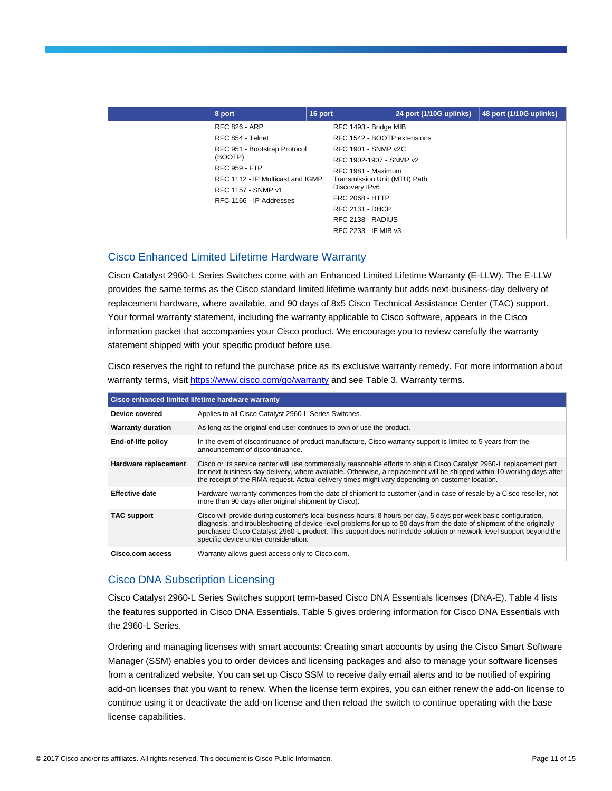| 8 port                                                                                                                                                                                           | 16 port |                                                                                                                                                                                                                                                                                 | 24 port (1/10G uplinks) | 48 port (1/10G uplinks) |
|--------------------------------------------------------------------------------------------------------------------------------------------------------------------------------------------------|---------|---------------------------------------------------------------------------------------------------------------------------------------------------------------------------------------------------------------------------------------------------------------------------------|-------------------------|-------------------------|
| <b>RFC 826 - ARP</b><br>RFC 854 - Telnet<br>RFC 951 - Bootstrap Protocol<br>(BOOTP)<br><b>RFC 959 - FTP</b><br>RFC 1112 - IP Multicast and IGMP<br>RFC 1157 - SNMP v1<br>RFC 1166 - IP Addresses |         | RFC 1493 - Bridge MIB<br>RFC 1542 - BOOTP extensions<br>RFC 1901 - SNMP v2C<br>RFC 1902-1907 - SNMP v2<br>RFC 1981 - Maximum<br>Transmission Unit (MTU) Path<br>Discovery IPv6<br><b>FRC 2068 - HTTP</b><br><b>RFC 2131 - DHCP</b><br>RFC 2138 - RADIUS<br>RFC 2233 - IF MIB v3 |                         |                         |

# Cisco Enhanced Limited Lifetime Hardware Warranty

Cisco Catalyst 2960-L Series Switches come with an Enhanced Limited Lifetime Warranty (E-LLW). The E-LLW provides the same terms as the Cisco standard limited lifetime warranty but adds next-business-day delivery of replacement hardware, where available, and 90 days of 8x5 Cisco Technical Assistance Center (TAC) support. Your formal warranty statement, including the warranty applicable to Cisco software, appears in the Cisco information packet that accompanies your Cisco product. We encourage you to review carefully the warranty statement shipped with your specific product before use.

Cisco reserves the right to refund the purchase price as its exclusive warranty remedy. For more information about warranty terms, visit<https://www.cisco.com/go/warranty> and see Table 3. Warranty terms.

|                          | Cisco enhanced limited lifetime hardware warranty                                                                                                                                                                                                                                                                                                                                                        |
|--------------------------|----------------------------------------------------------------------------------------------------------------------------------------------------------------------------------------------------------------------------------------------------------------------------------------------------------------------------------------------------------------------------------------------------------|
| Device covered           | Applies to all Cisco Catalyst 2960-L Series Switches.                                                                                                                                                                                                                                                                                                                                                    |
| <b>Warranty duration</b> | As long as the original end user continues to own or use the product.                                                                                                                                                                                                                                                                                                                                    |
| End-of-life policy       | In the event of discontinuance of product manufacture, Cisco warranty support is limited to 5 years from the<br>announcement of discontinuance.                                                                                                                                                                                                                                                          |
| Hardware replacement     | Cisco or its service center will use commercially reasonable efforts to ship a Cisco Catalyst 2960-L replacement part<br>for next-business-day delivery, where available. Otherwise, a replacement will be shipped within 10 working days after<br>the receipt of the RMA request. Actual delivery times might vary depending on customer location.                                                      |
| <b>Effective date</b>    | Hardware warranty commences from the date of shipment to customer (and in case of resale by a Cisco reseller, not<br>more than 90 days after original shipment by Cisco).                                                                                                                                                                                                                                |
| TAC support              | Cisco will provide during customer's local business hours, 8 hours per day, 5 days per week basic configuration,<br>diagnosis, and troubleshooting of device-level problems for up to 90 days from the date of shipment of the originally<br>purchased Cisco Catalyst 2960-L product. This support does not include solution or network-level support beyond the<br>specific device under consideration. |
| <b>Cisco.com access</b>  | Warranty allows quest access only to Cisco.com.                                                                                                                                                                                                                                                                                                                                                          |

# Cisco DNA Subscription Licensing

Cisco Catalyst 2960-L Series Switches support term-based Cisco DNA Essentials licenses (DNA-E). Table 4 lists the features supported in Cisco DNA Essentials. Table 5 gives ordering information for Cisco DNA Essentials with the 2960-L Series.

Ordering and managing licenses with smart accounts: Creating smart accounts by using the Cisco Smart Software Manager (SSM) enables you to order devices and licensing packages and also to manage your software licenses from a centralized website. You can set up Cisco SSM to receive daily email alerts and to be notified of expiring add-on licenses that you want to renew. When the license term expires, you can either renew the add-on license to continue using it or deactivate the add-on license and then reload the switch to continue operating with the base license capabilities.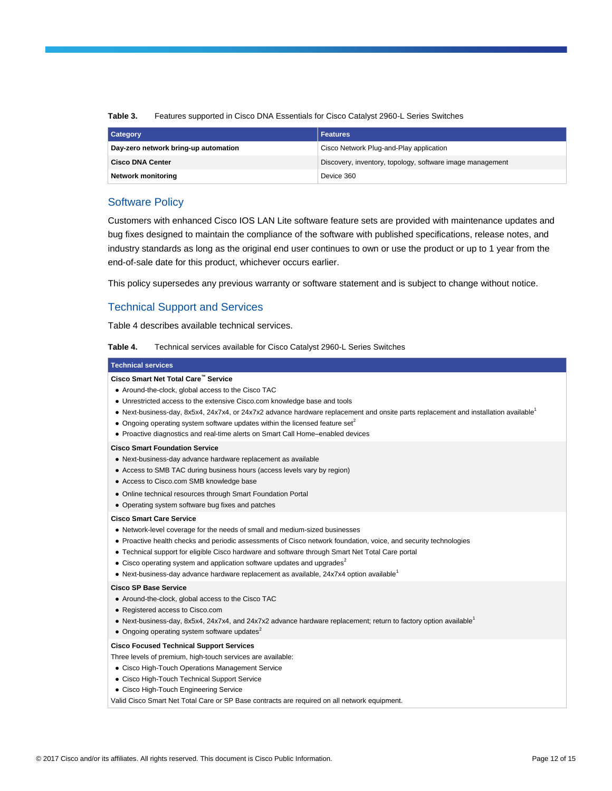| Table 3. |  | Features supported in Cisco DNA Essentials for Cisco Catalyst 2960-L Series Switches |  |  |
|----------|--|--------------------------------------------------------------------------------------|--|--|
|----------|--|--------------------------------------------------------------------------------------|--|--|

| <b>Category</b>                      | <b>Features</b>                                           |
|--------------------------------------|-----------------------------------------------------------|
| Day-zero network bring-up automation | Cisco Network Plug-and-Play application                   |
| <b>Cisco DNA Center</b>              | Discovery, inventory, topology, software image management |
| <b>Network monitoring</b>            | Device 360                                                |

# Software Policy

Customers with enhanced Cisco IOS LAN Lite software feature sets are provided with maintenance updates and bug fixes designed to maintain the compliance of the software with published specifications, release notes, and industry standards as long as the original end user continues to own or use the product or up to 1 year from the end-of-sale date for this product, whichever occurs earlier.

This policy supersedes any previous warranty or software statement and is subject to change without notice.

# Technical Support and Services

Table 4 describes available technical services.

**Table 4.** Technical services available for Cisco Catalyst 2960-L Series Switches

### **Technical services**

### **Cisco Smart Net Total Care™ Service**

- Around-the-clock, global access to the Cisco TAC
- Unrestricted access to the extensive Cisco.com knowledge base and tools
- N[e](https://www.cisco.com/en/US/prod/collateral/switches/ps5718/ps6406/product_data_sheet0900aecd80322c0c.html#wp9002122)xt-business-day, 8x5x4, 24x7x4, or 24x7x2 advance hardware replacement and onsite parts replacement and installation available<sup>1</sup>
- $\bullet$  $\bullet$  Ongoing operating system software updates within the licensed feature set<sup>2</sup>
- Proactive diagnostics and real-time alerts on Smart Call Home–enabled devices

#### **Cisco Smart Foundation Service**

- Next-business-day advance hardware replacement as available
- Access to SMB TAC during business hours (access levels vary by region)
- Access to Cisco.com SMB knowledge base
- Online technical resources through Smart Foundation Portal
- Operating system software bug fixes and patches

#### **Cisco Smart Care Service**

- Network-level coverage for the needs of small and medium-sized businesses
- Proactive health checks and periodic assessments of Cisco network foundation, voice, and security technologies
- Technical support for eligible Cisco hardware and software through Smart Net Total Care portal
- $\bullet$  Cisco operating system and application software updates and upgrades<sup>2</sup>
- Next-business-day advance hardware replacement as available,  $24x7x4$  option available<sup>1</sup>

#### **Cisco SP Base Service**

- Around-the-clock, global access to the Cisco TAC
- Registered access to Cisco.com
- Next-business-day, 8x5x4, 24x7x4, and 24x7x2 advance hardware replacement; return to factory option available<sup>1</sup>
- $\bullet$  Ongoing operating system software updates $^2$

#### **Cisco Focused Technical Support Services**

- Three levels of premium, high-touch services are available:
- Cisco High-Touch Operations Management Service
- Cisco High-Touch Technical Support Service
- Cisco High-Touch Engineering Service

Valid Cisco Smart Net Total Care or SP Base contracts are required on all network equipment.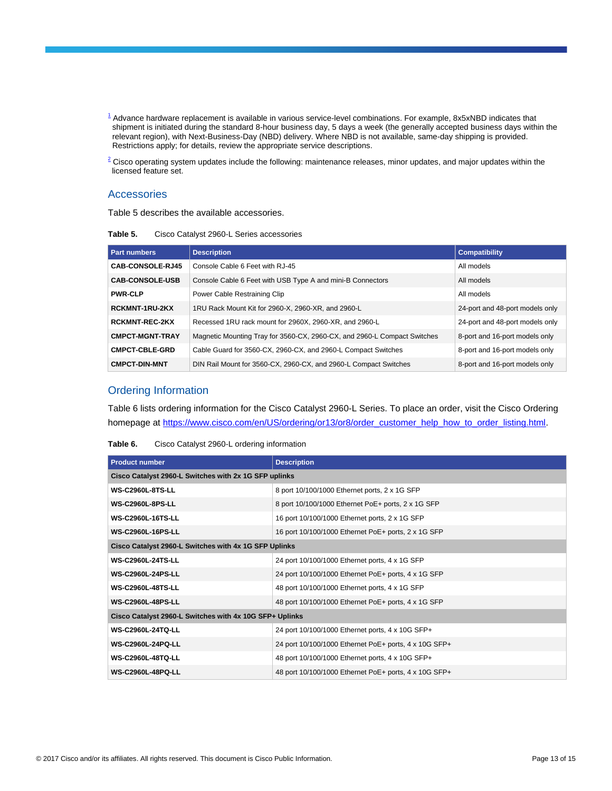- $^{\text{1}}$  $^{\text{1}}$  $^{\text{1}}$  Advance hardware replacement is available in various service-level combinations. For example, 8x5xNBD indicates that shipment is initiated during the standard 8-hour business day, 5 days a week (the generally accepted business days within the relevant region), with Next-Business-Day (NBD) delivery. Where NBD is not available, same-day shipping is provided. Restrictions apply; for details, review the appropriate service descriptions.
- $2$  Cisco operating system updates include the following: maintenance releases, minor updates, and major updates within the licensed feature set.

### **Accessories**

Table 5 describes the available accessories.

**Table 5.** Cisco Catalyst 2960-L Series accessories

| <b>Part numbers</b>    | <b>Description</b>                                                       | <b>Compatibility</b>            |
|------------------------|--------------------------------------------------------------------------|---------------------------------|
| CAB-CONSOLE-RJ45       | Console Cable 6 Feet with RJ-45                                          | All models                      |
| <b>CAB-CONSOLE-USB</b> | Console Cable 6 Feet with USB Type A and mini-B Connectors               | All models                      |
| <b>PWR-CLP</b>         | Power Cable Restraining Clip                                             | All models                      |
| <b>RCKMNT-1RU-2KX</b>  | 1RU Rack Mount Kit for 2960-X, 2960-XR, and 2960-L                       | 24-port and 48-port models only |
| <b>RCKMNT-REC-2KX</b>  | Recessed 1RU rack mount for 2960X, 2960-XR, and 2960-L                   | 24-port and 48-port models only |
| <b>CMPCT-MGNT-TRAY</b> | Magnetic Mounting Tray for 3560-CX, 2960-CX, and 2960-L Compact Switches | 8-port and 16-port models only  |
| <b>CMPCT-CBLE-GRD</b>  | Cable Guard for 3560-CX, 2960-CX, and 2960-L Compact Switches            | 8-port and 16-port models only  |
| <b>CMPCT-DIN-MNT</b>   | DIN Rail Mount for 3560-CX, 2960-CX, and 2960-L Compact Switches         | 8-port and 16-port models only  |

# Ordering Information

Table 6 lists ordering information for the Cisco Catalyst 2960-L Series. To place an order, visit the Cisco Ordering homepage at [https://www.cisco.com/en/US/ordering/or13/or8/order\\_customer\\_help\\_how\\_to\\_order\\_listing.html.](https://www.cisco.com/en/US/ordering/or13/or8/order_customer_help_how_to_order_listing.html)

| <b>Product number</b>                                   | <b>Description</b>                                    |  |  |  |
|---------------------------------------------------------|-------------------------------------------------------|--|--|--|
| Cisco Catalyst 2960-L Switches with 2x 1G SFP uplinks   |                                                       |  |  |  |
| <b>WS-C2960L-8TS-LL</b>                                 | 8 port 10/100/1000 Ethernet ports, 2 x 1G SFP         |  |  |  |
| <b>WS-C2960L-8PS-LL</b>                                 | 8 port 10/100/1000 Ethernet PoE+ ports, 2 x 1G SFP    |  |  |  |
| <b>WS-C2960L-16TS-LL</b>                                | 16 port 10/100/1000 Ethernet ports, 2 x 1G SFP        |  |  |  |
| <b>WS-C2960L-16PS-LL</b>                                | 16 port 10/100/1000 Ethernet PoE+ ports, 2 x 1G SFP   |  |  |  |
| Cisco Catalyst 2960-L Switches with 4x 1G SFP Uplinks   |                                                       |  |  |  |
| <b>WS-C2960L-24TS-LL</b>                                | 24 port 10/100/1000 Ethernet ports, 4 x 1G SFP        |  |  |  |
| <b>WS-C2960L-24PS-LL</b>                                | 24 port 10/100/1000 Ethernet PoE+ ports, 4 x 1G SFP   |  |  |  |
| <b>WS-C2960L-48TS-LL</b>                                | 48 port 10/100/1000 Ethernet ports, 4 x 1G SFP        |  |  |  |
| <b>WS-C2960L-48PS-LL</b>                                | 48 port 10/100/1000 Ethernet PoE+ ports, 4 x 1G SFP   |  |  |  |
| Cisco Catalyst 2960-L Switches with 4x 10G SFP+ Uplinks |                                                       |  |  |  |
| <b>WS-C2960L-24TO-LL</b>                                | 24 port 10/100/1000 Ethernet ports, 4 x 10G SFP+      |  |  |  |
| <b>WS-C2960L-24PQ-LL</b>                                | 24 port 10/100/1000 Ethernet PoE+ ports, 4 x 10G SFP+ |  |  |  |
| <b>WS-C2960L-48TO-LL</b>                                | 48 port 10/100/1000 Ethernet ports, 4 x 10G SFP+      |  |  |  |
| <b>WS-C2960L-48PQ-LL</b>                                | 48 port 10/100/1000 Ethernet PoE+ ports, 4 x 10G SFP+ |  |  |  |

| Table 6. | Cisco Catalyst 2960-L ordering information |  |
|----------|--------------------------------------------|--|
|----------|--------------------------------------------|--|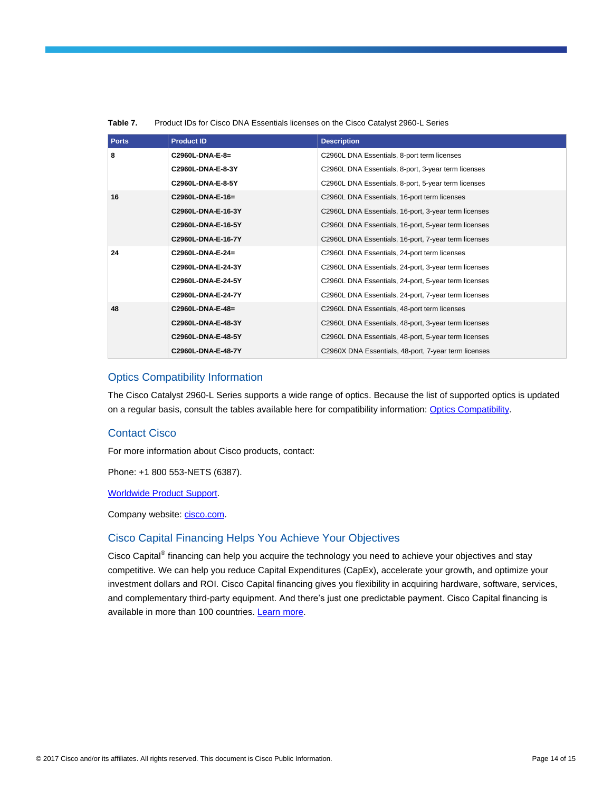| <b>Ports</b> | <b>Product ID</b>  | <b>Description</b>                                   |
|--------------|--------------------|------------------------------------------------------|
| 8            | C2960L-DNA-E-8=    | C2960L DNA Essentials, 8-port term licenses          |
|              | C2960L-DNA-E-8-3Y  | C2960L DNA Essentials, 8-port, 3-year term licenses  |
|              | C2960L-DNA-E-8-5Y  | C2960L DNA Essentials, 8-port, 5-year term licenses  |
| 16           | C2960L-DNA-E-16=   | C2960L DNA Essentials, 16-port term licenses         |
|              | C2960L-DNA-E-16-3Y | C2960L DNA Essentials, 16-port, 3-year term licenses |
|              | C2960L-DNA-E-16-5Y | C2960L DNA Essentials, 16-port, 5-year term licenses |
|              | C2960L-DNA-E-16-7Y | C2960L DNA Essentials, 16-port, 7-year term licenses |
| 24           | C2960L-DNA-E-24=   | C2960L DNA Essentials, 24-port term licenses         |
|              | C2960L-DNA-E-24-3Y | C2960L DNA Essentials, 24-port, 3-year term licenses |
|              | C2960L-DNA-E-24-5Y | C2960L DNA Essentials, 24-port, 5-year term licenses |
|              | C2960L-DNA-E-24-7Y | C2960L DNA Essentials, 24-port, 7-year term licenses |
| 48           | C2960L-DNA-E-48=   | C2960L DNA Essentials, 48-port term licenses         |
|              | C2960L-DNA-E-48-3Y | C2960L DNA Essentials, 48-port, 3-year term licenses |
|              | C2960L-DNA-E-48-5Y | C2960L DNA Essentials, 48-port, 5-year term licenses |
|              | C2960L-DNA-E-48-7Y | C2960X DNA Essentials, 48-port, 7-year term licenses |

### **Table 7.** Product IDs for Cisco DNA Essentials licenses on the Cisco Catalyst 2960-L Series

### Optics Compatibility Information

The Cisco Catalyst 2960-L Series supports a wide range of optics. Because the list of supported optics is updated on a regular basis, consult the tables available here for compatibility information: [Optics Compatibility.](https://www.cisco.com/en/US/products/hw/modules/ps5455/products_device_support_tables_list.html)

# Contact Cisco

For more information about Cisco products, contact:

Phone: +1 800 553-NETS (6387).

[Worldwide Product Support.](https://www.cisco.com/en/US/support/tsd_cisco_worldwide_contacts.html)

Company website[: cisco.com.](https://www.cisco.com/go/warranty)

# Cisco Capital Financing Helps You Achieve Your Objectives

Cisco Capital® financing can help you acquire the technology you need to achieve your objectives and stay competitive. We can help you reduce Capital Expenditures (CapEx), accelerate your growth, and optimize your investment dollars and ROI. Cisco Capital financing gives you flexibility in acquiring hardware, software, services, and complementary third-party equipment. And there's just one predictable payment. Cisco Capital financing is available in more than 100 countries[. Learn more.](https://www.cisco.com/web/ciscocapital/americas/us/index.html)